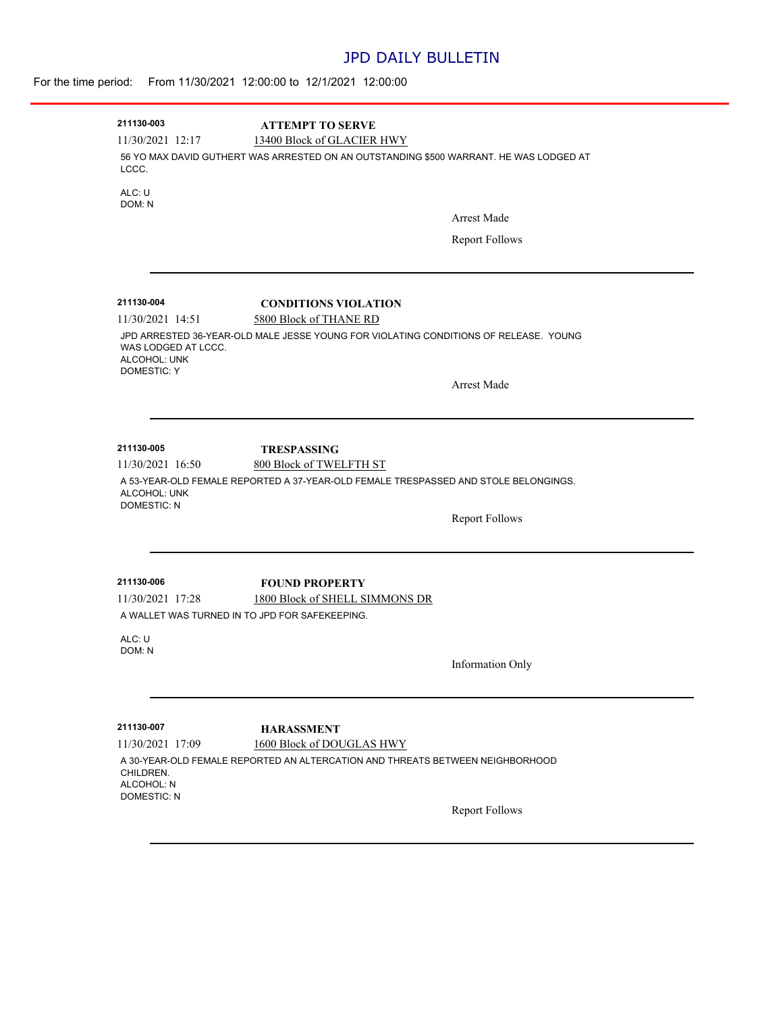## JPD DAILY BULLETIN

| For the time period: From 11/30/2021 12:00:00 to 12/1/2021 12:00:00 |  |  |  |  |
|---------------------------------------------------------------------|--|--|--|--|
|---------------------------------------------------------------------|--|--|--|--|

| 211130-003                                                                                                                                        | <b>ATTEMPT TO SERVE</b>                                                              |                         |  |  |
|---------------------------------------------------------------------------------------------------------------------------------------------------|--------------------------------------------------------------------------------------|-------------------------|--|--|
| 11/30/2021 12:17<br>13400 Block of GLACIER HWY<br>56 YO MAX DAVID GUTHERT WAS ARRESTED ON AN OUTSTANDING \$500 WARRANT. HE WAS LODGED AT<br>LCCC. |                                                                                      |                         |  |  |
| ALC: U<br>DOM: N                                                                                                                                  |                                                                                      |                         |  |  |
|                                                                                                                                                   |                                                                                      | <b>Arrest Made</b>      |  |  |
|                                                                                                                                                   |                                                                                      | <b>Report Follows</b>   |  |  |
| 211130-004                                                                                                                                        | <b>CONDITIONS VIOLATION</b>                                                          |                         |  |  |
| 11/30/2021 14:51                                                                                                                                  | 5800 Block of THANE RD                                                               |                         |  |  |
| WAS LODGED AT LCCC.<br>ALCOHOL: UNK<br><b>DOMESTIC: Y</b>                                                                                         | JPD ARRESTED 36-YEAR-OLD MALE JESSE YOUNG FOR VIOLATING CONDITIONS OF RELEASE. YOUNG |                         |  |  |
|                                                                                                                                                   |                                                                                      | <b>Arrest Made</b>      |  |  |
| 211130-005                                                                                                                                        | <b>TRESPASSING</b>                                                                   |                         |  |  |
| 11/30/2021 16:50                                                                                                                                  | 800 Block of TWELFTH ST                                                              |                         |  |  |
| ALCOHOL: UNK<br><b>DOMESTIC: N</b>                                                                                                                | A 53-YEAR-OLD FEMALE REPORTED A 37-YEAR-OLD FEMALE TRESPASSED AND STOLE BELONGINGS.  |                         |  |  |
|                                                                                                                                                   |                                                                                      | <b>Report Follows</b>   |  |  |
| 211130-006                                                                                                                                        | <b>FOUND PROPERTY</b>                                                                |                         |  |  |
| 11/30/2021 17:28                                                                                                                                  | 1800 Block of SHELL SIMMONS DR                                                       |                         |  |  |
| A WALLET WAS TURNED IN TO JPD FOR SAFEKEEPING.                                                                                                    |                                                                                      |                         |  |  |
| ALC: U<br>DOM: N                                                                                                                                  |                                                                                      |                         |  |  |
|                                                                                                                                                   |                                                                                      | <b>Information Only</b> |  |  |
| 211130-007                                                                                                                                        | <b>HARASSMENT</b>                                                                    |                         |  |  |
| 11/30/2021 17:09                                                                                                                                  | 1600 Block of DOUGLAS HWY                                                            |                         |  |  |
| CHILDREN.<br>ALCOHOL: N<br><b>DOMESTIC: N</b>                                                                                                     | A 30-YEAR-OLD FEMALE REPORTED AN ALTERCATION AND THREATS BETWEEN NEIGHBORHOOD        |                         |  |  |
|                                                                                                                                                   |                                                                                      | <b>Report Follows</b>   |  |  |